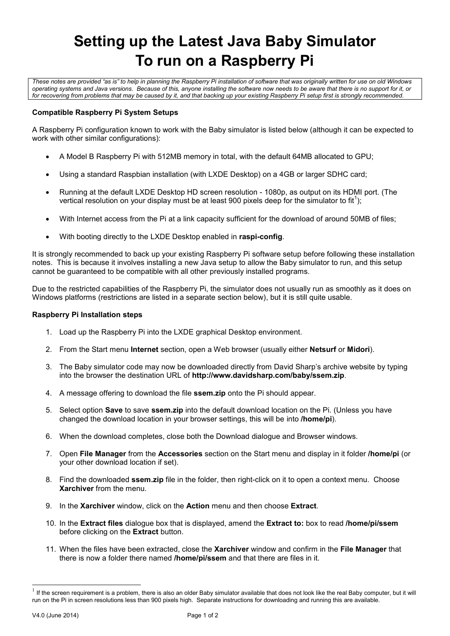# **Setting up the Latest Java Baby Simulator To run on a Raspberry Pi**

*These notes are provided "as is" to help in planning the Raspberry Pi installation of software that was originally written for use on old Windows operating systems and Java versions. Because of this, anyone installing the software now needs to be aware that there is no support for it, or for recovering from problems that may be caused by it, and that backing up your existing Raspberry Pi setup first is strongly recommended.*

## **Compatible Raspberry Pi System Setups**

A Raspberry Pi configuration known to work with the Baby simulator is listed below (although it can be expected to work with other similar configurations):

- A Model B Raspberry Pi with 512MB memory in total, with the default 64MB allocated to GPU;
- Using a standard Raspbian installation (with LXDE Desktop) on a 4GB or larger SDHC card;
- Running at the default LXDE Desktop HD screen resolution 1080p, as output on its HDMI port. (The vertical resolution on your display must be at least 900 pixels deep for the simulator to fit<sup>1</sup>);
- With Internet access from the Pi at a link capacity sufficient for the download of around 50MB of files;
- With booting directly to the LXDE Desktop enabled in **raspi-config**.

It is strongly recommended to back up your existing Raspberry Pi software setup before following these installation notes. This is because it involves installing a new Java setup to allow the Baby simulator to run, and this setup cannot be guaranteed to be compatible with all other previously installed programs.

Due to the restricted capabilities of the Raspberry Pi, the simulator does not usually run as smoothly as it does on Windows platforms (restrictions are listed in a separate section below), but it is still quite usable.

## **Raspberry Pi Installation steps**

- 1. Load up the Raspberry Pi into the LXDE graphical Desktop environment.
- 2. From the Start menu **Internet** section, open a Web browser (usually either **Netsurf** or **Midori**).
- 3. The Baby simulator code may now be downloaded directly from David Sharp's archive website by typing into the browser the destination URL of **<http://www.davidsharp.com/baby/ssem.zip>**.
- 4. A message offering to download the file **ssem.zip** onto the Pi should appear.
- 5. Select option **Save** to save **ssem.zip** into the default download location on the Pi. (Unless you have changed the download location in your browser settings, this will be into **/home/pi**).
- 6. When the download completes, close both the Download dialogue and Browser windows.
- 7. Open **File Manager** from the **Accessories** section on the Start menu and display in it folder **/home/pi** (or your other download location if set).
- 8. Find the downloaded **ssem.zip** file in the folder, then right-click on it to open a context menu. Choose **Xarchiver** from the menu.
- 9. In the **Xarchiver** window, click on the **Action** menu and then choose **Extract**.
- 10. In the **Extract files** dialogue box that is displayed, amend the **Extract to:** box to read **/home/pi/ssem** before clicking on the **Extract** button.
- 11. When the files have been extracted, close the **Xarchiver** window and confirm in the **File Manager** that there is now a folder there named **/home/pi/ssem** and that there are files in it.

l

 $1$  If the screen requirement is a problem, there is also an older Baby simulator available that does not look like the real Baby computer, but it will run on the Pi in screen resolutions less than 900 pixels high. Separate instructions for downloading and running this are available.